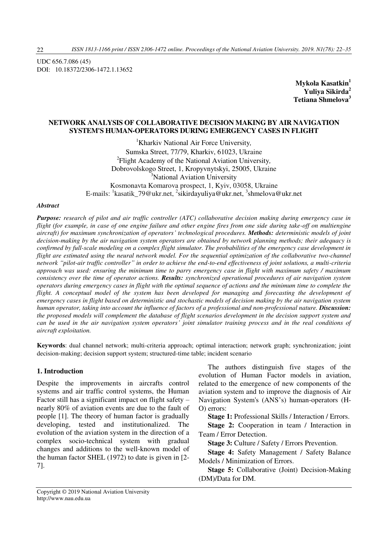UDC 656.7.086 (45) DOI: 10.18372/2306-1472.1.13652

> **Mykola Kasatkin<sup>1</sup> Yuliya Sikirda<sup>2</sup> Tetiana Shmelova<sup>3</sup>**

### **NETWORK ANALYSIS OF COLLABОRATIVE DECISION MAKING BY AIR NAVIGATION SYSTEM'S HUMAN-OPERATORS DURING EMERGENCY CASES IN FLIGHT**

<sup>1</sup>Kharkiv National Air Force University*,*  Sumska Street, 77/79, Kharkiv, 61023, Ukraine 2 Flight Academy of the National Aviation University*,*  Dobrovolskogo Street, 1, Kropyvnytskyi, 25005, Ukraine <sup>3</sup>National Aviation University Kosmonavta Komarova prospect, 1, Kyiv, 03058, Ukraine E-mails: <sup>1</sup>kasatik\_79@ukr.net, <sup>2</sup>sikirdayuliya@ukr.net, <sup>3</sup>shmelova@ukr.net

#### *Abstract*

*Purpose: research of pilot and air traffic controller (ATC) collaborative decision making during emergency case in flight (for example, in case of one engine failure and other engine fires from one side during take-off on multiengine aircraft) for maximum synchronization of operators' technological procedures. Methods: deterministic models of joint decision-making by the air navigation system operators are obtained by network planning methods; their adequacy is confirmed by full-scale modeling on a complex flight simulator. The probabilities of the emergency case development in flight are estimated using the neural network model. For the sequential optimization of the collaborative two-channel network "pilot-air traffic controller" in order to achieve the end-to-end effectiveness of joint solutions, a multi-criteria approach was used: ensuring the minimum time to parry emergency case in flight with maximum safety / maximum consistency over the time of operator actions. Results: synchronized operational procedures of air navigation system operators during emergency cases in flight with the optimal sequence of actions and the minimum time to complete the flight. A conceptual model of the system has been developed for managing and forecasting the development of emergency cases in flight based on deterministic and stochastic models of decision making by the air navigation system human operator, taking into account the influence of factors of a professional and non-professional nature. Discussion: the proposed models will complement the database of flight scenarios development in the decision support system and can be used in the air navigation system operators' joint simulator training process and in the real conditions of aircraft exploitation.* 

**Keywords**: dual channel network; multi-criteria approach; optimal interaction; network graph; synchronization; joint decision-making; decision support system; structured-time table; incident scenario

#### **1. Introduction**

Despite the improvements in aircrafts control systems and air traffic control systems, the Human Factor still has a significant impact on flight safety – nearly 80% of aviation events are due to the fault of people [1]. The theory of human factor is gradually developing, tested and institutionalized. The evolution of the aviation system in the direction of a complex socio-technical system with gradual changes and additions to the well-known model of the human factor SHEL (1972) to date is given in [2- 7].

The authors distinguish five stages of the evolution of Human Factor models in aviation, related to the emergence of new components of the aviation system and to improve the diagnosis of Air Navigation System's (ANS's) human-operators (H-O) errors:

**Stage 1:** Professional Skills / Interaction / Errors.

**Stage 2:** Cooperation in team / Interaction in Team / Error Detection.

**Stage 3:** Culture / Safety / Errors Prevention.

**Stage 4:** Safety Management / Safety Balance Models / Minimization of Errors.

**Stage 5:** Collaborative (Joint) Decision-Making (DM)/Data for DM.

22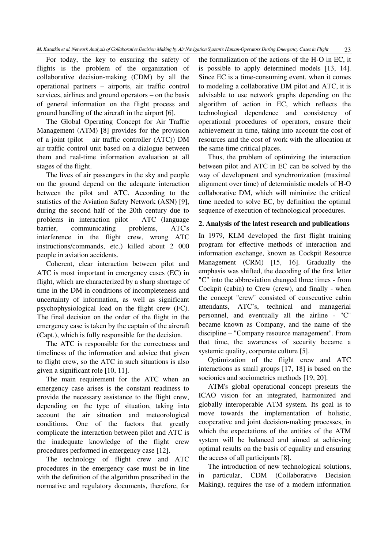For today, the key to ensuring the safety of flights is the problem of the organization of collaborative decision-making (CDM) by all the operational partners – airports, air traffic control services, airlines and ground operators – on the basis of general information on the flight process and ground handling of the aircraft in the airport [6].

The Global Operating Concept for Air Traffic Management (ATM) [8] provides for the provision of a joint (pilot – air traffic controller (ATC)) DM air traffic control unit based on a dialogue between them and real-time information evaluation at all stages of the flight.

The lives of air passengers in the sky and people on the ground depend on the adequate interaction between the pilot and ATC. According to the statistics of the Aviation Safety Network (ASN) [9], during the second half of the 20th century due to problems in interaction pilot – ATC (language barrier, communicating problems, ATC's interference in the flight crew, wrong ATC instructions/commands, etc.) killed about 2 000 people in aviation accidents.

Coherent, clear interaction between pilot and ATC is most important in emergency cases (EC) in flight, which are characterized by a sharp shortage of time in the DM in conditions of incompleteness and uncertainty of information, as well as significant psychophysiological load on the flight crew (FC). The final decision on the order of the flight in the emergency case is taken by the captain of the aircraft (Capt.), which is fully responsible for the decision.

The ATC is responsible for the correctness and timeliness of the information and advice that given to flight crew, so the ATC in such situations is also given a significant role [10, 11].

The main requirement for the ATC when an emergency case arises is the constant readiness to provide the necessary assistance to the flight crew, depending on the type of situation, taking into account the air situation and meteorological conditions. One of the factors that greatly complicate the interaction between pilot and ATC is the inadequate knowledge of the flight crew procedures performed in emergency case [12].

The technology of flight crew and ATC procedures in the emergency case must be in line with the definition of the algorithm prescribed in the normative and regulatory documents, therefore, for

the formalization of the actions of the H-O in EC, it is possible to apply determined models [13, 14]. Since EC is a time-consuming event, when it comes to modeling a collaborative DM pilot and ATC, it is advisable to use network graphs depending on the algorithm of action in EC, which reflects the technological dependence and consistency of operational procedures of operators, ensure their achievement in time, taking into account the cost of resources and the cost of work with the allocation at the same time critical places.

Thus, the problem of optimizing the interaction between pilot and ATC in EC can be solved by the way of development and synchronization (maximal alignment over time) of deterministic models of H-O collaborative DM, which will minimize the critical time needed to solve EC, by definition the optimal sequence of execution of technological procedures.

#### **2. Analysis of the latest research and publications**

In 1979, KLM developed the first flight training program for effective methods of interaction and information exchange, known as Cockpit Resource Management (CRM) [15, 16]. Gradually the emphasis was shifted, the decoding of the first letter "C" into the abbreviation changed three times - from Cockpit (cabin) to Crew (crew), and finally - when the concept "crew" consisted of consecutive cabin attendants, ATC's, technical and managerial personnel, and eventually all the airline - "C" became known as Company, and the name of the discipline – "Company resource management". From that time, the awareness of security became a systemic quality, corporate culture [5].

Optimization of the flight crew and ATC interactions as small groups [17, 18] is based on the socionics and sociometrics methods [19, 20].

ATM's global operational concept presents the ICAO vision for an integrated, harmonized and globally interoperable ATM system. Its goal is to move towards the implementation of holistic, cooperative and joint decision-making processes, in which the expectations of the entities of the ATM system will be balanced and aimed at achieving optimal results on the basis of equality and ensuring the access of all participants [8].

The introduction of new technological solutions, in particular, CDM (Collaborative Decision Making), requires the use of a modern information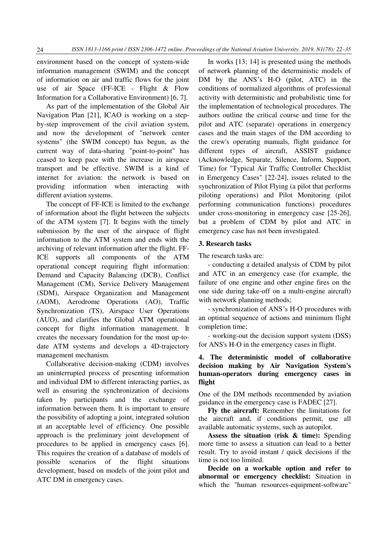environment based on the concept of system-wide information management (SWIM) and the concept of information on air and traffic flows for the joint use of air Space (FF-ICE - Flight & Flow Information for a Collaborative Environment) [6, 7].

As part of the implementation of the Global Air Navigation Plan [21], ICAO is working on a stepby-step improvement of the civil aviation system, and now the development of "network center systems" (the SWIM concept) has begun, as the current way of data-sharing "point-to-point" has ceased to keep pace with the increase in airspace transport and be effective. SWIM is a kind of internet for aviation: the network is based on providing information when interacting with different aviation systems.

The concept of FF-ICE is limited to the exchange of information about the flight between the subjects of the ATM system [7]. It begins with the timely submission by the user of the airspace of flight information to the ATM system and ends with the archiving of relevant information after the flight. FF-ICE supports all components of the ATM operational concept requiring flight information: Demand and Capacity Balancing (DCB), Conflict Management (CM), Service Delivery Management (SDM), Airspace Organization and Management (AOM), Aerodrome Operations (AO), Traffic Synchronization (TS), Airspace User Operations (AUO), and clarifies the Global ATM operational concept for flight information management. It creates the necessary foundation for the most up-todate ATM systems and develops a 4D-trajectory management mechanism.

Collaborative decision-making (CDM) involves an uninterrupted process of presenting information and individual DM to different interacting parties, as well as ensuring the synchronization of decisions taken by participants and the exchange of information between them. It is important to ensure the possibility of adopting a joint, integrated solution at an acceptable level of efficiency. One possible approach is the preliminary joint development of procedures to be applied in emergency cases [6]. This requires the creation of a database of models of possible scenarios of the flight situations development, based on models of the joint pilot and ATC DM in emergency cases.

In works [13; 14] is presented using the methods of network planning of the deterministic models of DM by the ANS's H-O (pilot, ATC) in the conditions of normalized algorithms of professional activity with deterministic and probabilistic time for the implementation of technological procedures. The authors outline the critical course and time for the pilot and ATC (separate) operations in emergency cases and the main stages of the DM according to the crew's operating manuals, flight guidance for different types of aircraft, ASSIST guidance (Acknowledge, Separate, Silence, Inform, Support, Time) for "Typical Air Traffic Controller Checklist in Emergency Cases" [22-24], issues related to the synchronization of Pilot Flying (a pilot that performs piloting operations) and Pilot Monitoring (pilot performing communication functions) procedures under cross-monitoring in emergency case [25-26], but a problem of CDM by pilot and ATC in emergency case has not been investigated.

#### **3. Research tasks**

The research tasks are:

- conducting a detailed analysis of CDM by pilot and ATC in an emergency case (for example, the failure of one engine and other engine fires on the one side during take-off on a multi-engine aircraft) with network planning methods;

- synchronization of ANS's H-O procedures with an optimal sequence of actions and minimum flight completion time;

- working-out the decision support system (DSS) for ANS's H-O in the emergency cases in flight.

## **4. The deterministic model of collaborative decision making by Air Navigation System's human-operators during emergency cases in flight**

One of the DM methods recommended by aviation guidance in the emergency case is FADEC [27].

**Fly the aircraft:** Remember the limitations for the aircraft and, if conditions permit, use all available automatic systems, such as autopilot.

**Assess the situation (risk & time):** Spending more time to assess a situation can lead to a better result. Try to avoid instant / quick decisions if the time is not too limited.

**Decide on a workable option and refer to abnormal or emergency checklist:** Situation in which the "human resources-equipment-software"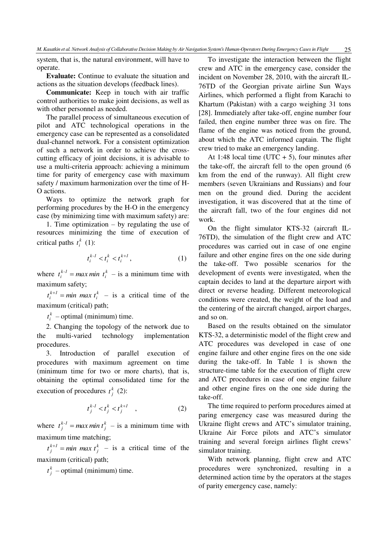system, that is, the natural environment, will have to operate.

**Evaluate:** Continue to evaluate the situation and actions as the situation develops (feedback lines).

**Communicate:** Keep in touch with air traffic control authorities to make joint decisions, as well as with other personnel as needed.

The parallel process of simultaneous execution of pilot and ATC technological operations in the emergency case can be represented as a consolidated dual-channel network. For a consistent optimization of such a network in order to achieve the crosscutting efficacy of joint decisions, it is advisable to use a multi-criteria approach: achieving a minimum time for parity of emergency case with maximum safety / maximum harmonization over the time of H-O actions.

Ways to optimize the network graph for performing procedures by the H-O in the emergency case (by minimizing time with maximum safety) are:

1. Time optimization – by regulating the use of resources minimizing the time of execution of critical paths  $t_i^k$  (1):

$$
t_i^{k-l} < t_i^k < t_i^{k+l},\tag{1}
$$

where  $t_i^{k-1} = max min \ t_i^k - is a minimum time with$ maximum safety;

 $t_i^{k+l} = min$  *max*  $t_i^k$  – is a critical time of the maximum (critical) path;

 $t_i^k$  – optimal (minimum) time.

2. Changing the topology of the network due to the multi-varied technology implementation procedures.

3. Introduction of parallel execution of procedures with maximum agreement on time (minimum time for two or more charts), that is, obtaining the optimal consolidated time for the execution of procedures  $t_j^k$  (2):

$$
t_j^{k-l} < t_j^k < t_j^{k+l} \quad , \tag{2}
$$

where  $t_j^{k-l} = max min t_j^k$  – is a minimum time with maximum time matching;

 $t_j^{k+l} = min$  *max*  $t_j^k$  – is a critical time of the maximum (critical) path;

 $t_j^k$  – optimal (minimum) time.

To investigate the interaction between the flight crew and ATC in the emergency case, consider the incident on November 28, 2010, with the aircraft IL-76TD of the Georgian private airline Sun Ways Airlines, which performed a flight from Karachi to Khartum (Pakistan) with a cargo weighing 31 tons [28]. Immediately after take-off, engine number four failed, then engine number three was on fire. The flame of the engine was noticed from the ground, about which the ATC informed captain. The flight crew tried to make an emergency landing.

At 1:48 local time (UTC  $+ 5$ ), four minutes after the take-off, the aircraft fell to the open ground (6 km from the end of the runway). All flight crew members (seven Ukrainians and Russians) and four men on the ground died. During the accident investigation, it was discovered that at the time of the aircraft fall, two of the four engines did not work.

On the flight simulator KTS-32 (aircraft IL-76TD), the simulation of the flight crew and ATC procedures was carried out in case of one engine failure and other engine fires on the one side during the take-off. Two possible scenarios for the development of events were investigated, when the captain decides to land at the departure airport with direct or reverse heading. Different meteorological conditions were created, the weight of the load and the centering of the aircraft changed, airport charges, and so on.

Based on the results obtained on the simulator KTS-32, a deterministic model of the flight crew and ATC procedures was developed in case of one engine failure and other engine fires on the one side during the take-off. In Table 1 is shown the structure-time table for the execution of flight crew and ATC procedures in case of one engine failure and other engine fires on the one side during the take-off.

The time required to perform procedures aimed at paring emergency case was measured during the Ukraine flight crews and ATC's simulator training, Ukraine Air Force pilots and ATC's simulator training and several foreign airlines flight crews' simulator training.

With network planning, flight crew and ATC procedures were synchronized, resulting in a determined action time by the operators at the stages of parity emergency case, namely: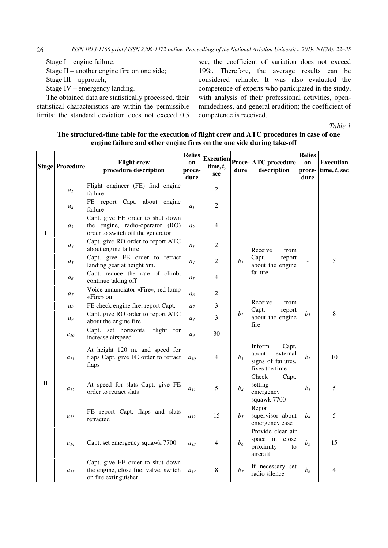Stage I – engine failure;

Stage II – another engine fire on one side;

Stage III – approach;

Stage IV – emergency landing.

The obtained data are statistically processed, their statistical characteristics are within the permissible limits: the standard deviation does not exceed 0,5 sec; the coefficient of variation does not exceed 19%. Therefore, the average results can be considered reliable. It was also evaluated the competence of experts who participated in the study, with analysis of their professional activities, openmindedness, and general erudition; the coefficient of competence is received.

*Table 1* 

### **The structured-time table for the execution of flight crew and ATC procedures in case of one engine failure and other engine fires on the one side during take-off**

|              | <b>Stage Procedure</b> | <b>Flight crew</b><br>procedure description                                                              | <b>Relies</b><br>on<br>proce-<br>dure | time, t,<br>sec | dure           | $\left \frac{\text{Execution}}{\text{Proce}}\right $ ATC procedure<br>description | <b>Relies</b><br>on<br>proce-<br>dure | <b>Execution</b><br>time, $t$ , sec |
|--------------|------------------------|----------------------------------------------------------------------------------------------------------|---------------------------------------|-----------------|----------------|-----------------------------------------------------------------------------------|---------------------------------------|-------------------------------------|
| I            | a <sub>I</sub>         | Flight engineer (FE) find engine<br>failure                                                              |                                       | $\overline{2}$  |                |                                                                                   |                                       |                                     |
|              | $a_2$                  | FE report Capt. about engine<br>failure                                                                  | a <sub>1</sub>                        | 2               |                |                                                                                   |                                       |                                     |
|              | $a_3$                  | Capt. give FE order to shut down<br>the engine, radio-operator (RO)<br>order to switch off the generator | a <sub>2</sub>                        | 4               |                |                                                                                   |                                       |                                     |
|              | $a_4$                  | Capt. give RO order to report ATC<br>about engine failure                                                | $a_3$                                 | $\overline{2}$  |                | Receive<br>from                                                                   |                                       |                                     |
|              | a <sub>5</sub>         | Capt. give FE order to retract<br>landing gear at height 5m.                                             | $a_4$                                 | $\overline{2}$  | b <sub>1</sub> | Capt.<br>report<br>about the engine<br>failure                                    |                                       | 5                                   |
|              | a <sub>6</sub>         | Capt. reduce the rate of climb,<br>continue taking off                                                   | $a_5$                                 | 4               |                |                                                                                   |                                       |                                     |
| $\mathbf{I}$ | $a_7$                  | Voice annunciator «Fire», red lamp<br>«Fire» on                                                          | a <sub>6</sub>                        | 2               |                |                                                                                   | b <sub>I</sub>                        | 8                                   |
|              | $a_8$                  | FE check engine fire, report Capt.                                                                       | a <sub>7</sub>                        | 3               |                | Receive<br>from<br>Capt.<br>report<br>about the engine<br>fire                    |                                       |                                     |
|              | a <sub>9</sub>         | Capt. give RO order to report ATC<br>about the engine fire                                               | $a_8$                                 | 3               | b <sub>2</sub> |                                                                                   |                                       |                                     |
|              | $a_{10}$               | Capt. set horizontal flight for<br>increase airspeed                                                     | a <sub>9</sub>                        | 30              |                |                                                                                   |                                       |                                     |
|              | $a_{11}$               | At height 120 m. and speed for<br>flaps Capt. give FE order to retract<br>flaps                          | $a_{10}$                              | 4               | $b_3$          | Inform<br>Capt.<br>about<br>external<br>signs of failures,<br>fixes the time      | b <sub>2</sub>                        | 10                                  |
|              | $a_{12}$               | At speed for slats Capt. give FE<br>order to retract slats                                               | $a_{11}$                              | 5               | $b_4$          | Check<br>Capt.<br>setting<br>emergency<br>squawk 7700                             | $b_3$                                 | 5                                   |
|              | $a_{13}$               | FE report Capt. flaps and slats<br>retracted                                                             | $a_{12}$                              | 15              | $b_5$          | Report<br>supervisor about<br>emergency case                                      | $b_4$                                 | 5                                   |
|              | $a_{14}$               | Capt. set emergency squawk 7700                                                                          | $a_{13}$                              | 4               | b <sub>6</sub> | Provide clear air<br>space in close<br>proximity<br>to<br>aircraft                | $b_5$                                 | 15                                  |
|              | $a_{15}$               | Capt. give FE order to shut down<br>the engine, close fuel valve, switch<br>on fire extinguisher         | $a_{14}$                              | 8               | $b_7$          | If necessary set<br>radio silence                                                 | $b_6$                                 | $\overline{4}$                      |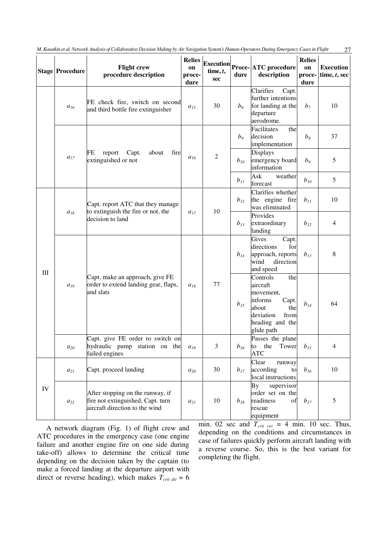|            | <b>Stage Procedure</b> | <b>Flight crew</b><br>procedure description                                                             | <b>Relies</b><br>on<br>proce-<br>dure | time, $t$ ,<br><b>sec</b> | dure           | $\begin{array}{ l } \hline \text{Execution} & \text{Proce-} \text{ATC procedure} \hline \end{array}$<br>description                | <b>Relies</b><br>on<br>proce-<br>dure | <b>Execution</b><br>time, $t$ , sec |
|------------|------------------------|---------------------------------------------------------------------------------------------------------|---------------------------------------|---------------------------|----------------|------------------------------------------------------------------------------------------------------------------------------------|---------------------------------------|-------------------------------------|
|            | $a_{16}$               | FE check fire, switch on second<br>and third bottle fire extinguisher                                   | $a_{15}$                              | 30                        | $b_8$          | Clarifies<br>Capt.<br>further intentions<br>for landing at the<br>departure<br>aerodrome.                                          | $b_7$                                 | 10                                  |
|            | $a_{17}$               | report<br>Capt.<br>about<br>fire<br>FE<br>extinguished or not                                           | $a_{16}$                              | $\overline{2}$            | b <sub>9</sub> | Facilitates<br>the<br>decision<br>implementation                                                                                   | $b_8$                                 | 37                                  |
|            |                        |                                                                                                         |                                       |                           | $b_{10}$       | <b>Displays</b><br>emergency board<br>information                                                                                  | b <sub>9</sub>                        | 5                                   |
|            |                        |                                                                                                         |                                       |                           | $b_{II}$       | Ask<br>weather<br>forecast                                                                                                         | $b_{10}$                              | 5                                   |
| III        | $\boldsymbol{a}_{18}$  | Capt. report ATC that they manage<br>to extinguish the fire or not, the<br>decision to land             | $a_{17}$                              | 10                        | $b_{12}$       | Clarifies whether<br>the engine fire<br>was eliminated                                                                             | $b_{II}$                              | 10                                  |
|            |                        |                                                                                                         |                                       |                           | $b_{13}$       | Provides<br>extraordinary<br>landing                                                                                               | $b_{12}$                              | 4                                   |
|            | $a_{19}$               | Capt. make an approach, give FE<br>order to extend landing gear, flaps,<br>and slats                    | $a_{18}$                              | 77                        | $b_{14}$       | Gives<br>Capt.<br>directions<br>for<br>approach, reports<br>wind<br>direction<br>and speed                                         | $b_{13}$                              | $\,8$                               |
|            |                        |                                                                                                         |                                       |                           | $b_{15}$       | Controls<br>the<br>aircraft<br>movement,<br>informs<br>Capt.<br>about<br>the<br>deviation<br>from<br>heading and the<br>glide path | $b_{14}$                              | 64                                  |
|            | $a_{20}$               | Capt. give FE order to switch on<br>hydraulic pump station on the<br>failed engines                     | $a_{19}$                              | 3                         | $b_{16}$       | Passes the plane<br>to the Tower<br><b>ATC</b>                                                                                     | $b_{15}$                              | 4                                   |
| ${\rm IV}$ | $a_{21}$               | Capt. proceed landing                                                                                   | $a_{20}$                              | 30                        | $b_{17}$       | Clear<br>runway<br>according<br>to<br>local instructions                                                                           | $b_{16}$                              | 10                                  |
|            | $a_{22}$               | After stopping on the runway, if<br>fire not extinguished, Capt. turn<br>aircraft direction to the wind | $a_{21}$                              | 10                        | $b_{18}$       | By<br>supervisor<br>order set on the<br>readiness<br>of<br>rescue<br>equipment                                                     | $b_{17}$                              | 5                                   |

*M. Kasatkin et al. Network Analysis of Collabоrative Decision Making by Air Navigation System's Human-Operators During Emergency Cases in Flight* 27

A network diagram (Fig. 1) of flight crew and ATC procedures in the emergency case (one engine failure and another engine fire on one side during take-off) allows to determine the critical time depending on the decision taken by the captain (to make a forced landing at the departure airport with direct or reverse heading), which makes  $T_{crit \, dir} = 6$  min. 02 sec and  $T_{crit}$   $_{rev}$  = 4 min. 10 sec. Thus, depending on the conditions and circumstances in case of failures quickly perform aircraft landing with a reverse course. So, this is the best variant for completing the flight.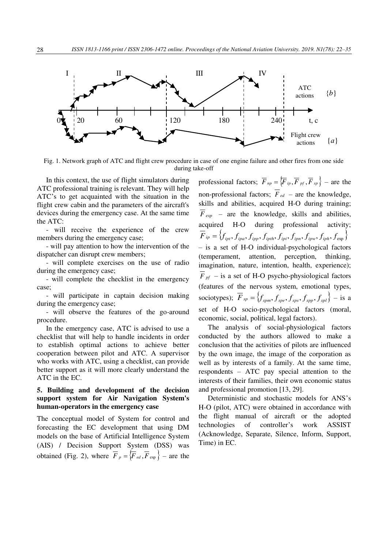

Fig. 1. Network graph of ATC and flight crew procedure in case of one engine failure and other fires from one side during take-off

In this context, the use of flight simulators during ATC professional training is relevant. They will help ATC's to get acquainted with the situation in the flight crew cabin and the parameters of the aircraft's devices during the emergency case. At the same time the ATC:

- will receive the experience of the crew members during the emergency case;

- will pay attention to how the intervention of the dispatcher can disrupt crew members;

- will complete exercises on the use of radio during the emergency case;

- will complete the checklist in the emergency case;

- will participate in captain decision making during the emergency case;

- will observe the features of the go-around procedure.

In the emergency case, ATC is advised to use a checklist that will help to handle incidents in order to establish optimal actions to achieve better cooperation between pilot and ATC. A supervisor who works with ATC, using a checklist, can provide better support as it will more clearly understand the ATC in the EC.

### **5. Building and development of the decision support system for Air Navigation System's human-operators in the emergency case**

The conceptual model of System for control and forecasting the EC development that using DM models on the base of Artificial Intelligence System (AIS) / Decision Support System (DSS) was obtained (Fig. 2), where  $\overline{F}_p = \{ \overline{F}_{ed}, \overline{F}_{exp} \}$  – are the

professional factors;  $\overline{F}_{np} = \{ \overline{F}_{ip}, \overline{F}_{pf}, \overline{F}_{sp} \}$  – are the non-professional factors;  $\overline{F}_{ed}$  – are the knowledge, skills and abilities, acquired H-O during training;  $\overline{F}_{exp}$  – are the knowledge, skills and abilities, acquired H-O during professional activity;  $\overline{F}_{ip} = \left\{ f_{ipt}, f_{ipa}, f_{ipp}, f_{ipth}, f_{ipi}, f_{ipn}, f_{ipk}, f_{exp} \right\}$ – is a set of H-O individual-psychological factors (temperament, attention, perception, thinking, imagination, nature, intention, health, experience);  $\overline{F}_{pf}$  – is a set of H-O psycho-physiological factors (features of the nervous system, emotional types, sociotypes);  $\overline{F}_{sp} = \left\{f_{spm}, f_{spe}, f_{sps}, f_{spp}, f_{spl}\right\} - \text{is a}$ set of H-O socio-psychological factors (moral, economic, social, political, legal factors).

The analysis of social-physiological factors conducted by the authors allowed to make a conclusion that the activities of pilots are influenced by the own image, the image of the corporation as well as by interests of a family. At the same time, respondents – ATC pay special attention to the interests of their families, their own economic status and professional promotion [13, 29].

Deterministic and stochastic models for ANS's H-O (pilot, ATC) were obtained in accordance with the flight manual of aircraft or the adopted technologies of controller's work ASSIST (Acknowledge, Separate, Silence, Inform, Support, Time) in EC.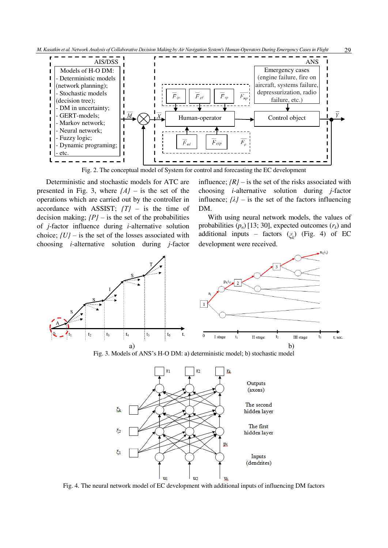



Fig. 2. The conceptual model of System for control and forecasting the EC development

Deterministic and stochastic models for ATC are presented in Fig. 3, where  ${A}$ *}* – is the set of the operations which are carried out by the controller in accordance with ASSIST; *{Т}* – is the time of decision making;  $\{P\}$  – is the set of the probabilities of *j*-factor influence during *i*-alternative solution choice; *{U}* – is the set of the losses associated with choosing *i*-alternative solution during *j*-factor influence;  $\{R\}$  – is the set of the risks associated with choosing *i*-alternative solution during *j*-factor influence;  $\{\lambda\}$  – is the set of the factors influencing DM.

With using neural network models, the values of probabilities  $(p_n)$  [13; 30], expected outcomes  $(r_k)$  and additional inputs – factors (*ξ<sup>k</sup>* ) (Fig. 4) of EC development were received.



Fig. 3. Models of ANS's H-O DM: а) deterministic model; b) stochastic model



Fig. 4. The neural network model of EC development with additional inputs of influencing DM factors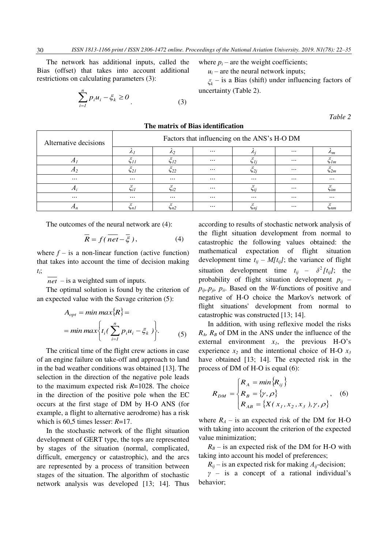The network has additional inputs, called the Bias (offset) that takes into account additional restrictions on calculating parameters (3):

$$
\sum_{i=1}^{n} p_i u_i - \xi_k \ge 0
$$
\n(3)

where 
$$
p_i
$$
 – are the weight coefficients;

 $u_i$  – are the neural network inputs;

*ξk* – is a Bias (shift) under influencing factors of uncertainty (Table 2).

*Table 2* 

| Alternative decisions | Factors that influencing on the ANS's H-O DM |               |          |          |          |                  |  |  |
|-----------------------|----------------------------------------------|---------------|----------|----------|----------|------------------|--|--|
|                       |                                              | $\mathcal{L}$ | $\cdots$ |          | $\cdots$ | $n_m$            |  |  |
| л                     | $\zeta_{11}$                                 | $\zeta_{12}$  | $\cdots$ |          | $\cdots$ | $\zeta_{lm}$     |  |  |
| $\pi$                 | ς21                                          | $\xi_{22}$    | $\cdots$ | ∫2i      | $\cdots$ | $\varsigma_{2m}$ |  |  |
| $\cdots$              | $\cdots$                                     | $\cdots$      | $\cdots$ | $\cdots$ | $\cdots$ | $\cdots$         |  |  |
|                       | Si1                                          | $\zeta_{i2}$  | $\cdots$ | Sii      | $\cdots$ | Sim              |  |  |
| $\cdots$              | $\cdots$                                     | $\cdots$      | $\cdots$ | $\cdots$ | $\cdots$ | $\cdots$         |  |  |
|                       | Sn 1                                         | Sn2           | $\cdots$ | ьni      | $\cdots$ | Snm              |  |  |

**The matrix of Bias identification** 

The outcomes of the neural network are (4):

$$
\overline{R} = f(\overline{net} - \overline{\xi}), \qquad (4)
$$

where  $f -$  is a non-linear function (active function) that takes into account the time of decision making *tі* ;

*net* – is a weighted sum of inputs.

The optimal solution is found by the criterion of an expected value with the Savage criterion (5):

$$
A_{opt} = \min \max \{ R \} =
$$
  
= \min \max \{ t\_i (\sum\_{i=1}^n p\_i u\_i - \xi\_k ) \}. (5)

The critical time of the flight crew actions in case of an engine failure on take-off and approach to land in the bad weather conditions was obtained [13]. The selection in the direction of the negative pole leads to the maximum expected risk *R*=1028. The choice in the direction of the positive pole when the EC occurs at the first stage of DM by H-O ANS (for example, a flight to alternative aerodrome) has a risk which is 60,5 times lesser: *R*=17.

In the stochastic network of the flight situation development of GERT type, the tops are represented by stages of the situation (normal, complicated, difficult, emergency or catastrophic), and the arcs are represented by a process of transition between stages of the situation. The algorithm of stochastic network analysis was developed [13; 14]. Thus

according to results of stochastic network analysis of the flight situation development from normal to catastrophic the following values obtained: the mathematical expectation of flight situation development time  $t_{ii} - M[t_{ii}]$ ; the variance of flight situation development time  $t_{ij}$  –  $\delta^2 [t_{ij}]$ ; the probability of flight situation development  $p_{ij}$  – *рij,.рji, рi<sup>і</sup>* . Based on the *W*-functions of positive and negative of H-O choice the Markov's network of flight situations' development from normal to catastrophic was constructed [13; 14].

In addition, with using reflexive model the risks  $R_A$ ,  $R_B$  of DM in the ANS under the influence of the external environment  $x<sub>1</sub>$ , the previous H-O's experience *x2* and the intentional choice of H-O *x<sup>3</sup>* have obtained [13; 14]. The expected risk in the process of DM of H-O is equal (6):

$$
R_{DM} = \begin{cases} R_A = min\{R_{ij}\} \\ R_B = \{ \gamma, \rho \} \\ R_{AB} = \{ X(x_1, x_2, x_3), \gamma, \rho \} \end{cases}
$$
, (6)

where  $R_A$  – is an expected risk of the DM for H-O with taking into account the criterion of the expected value minimization;

 $R_B$  – is an expected risk of the DM for H-O with taking into account his model of preferences;

 $R_{ij}$  – is an expected risk for making  $A_{ij}$ -decision;

*γ* – is a concept of a rational individual's behavior;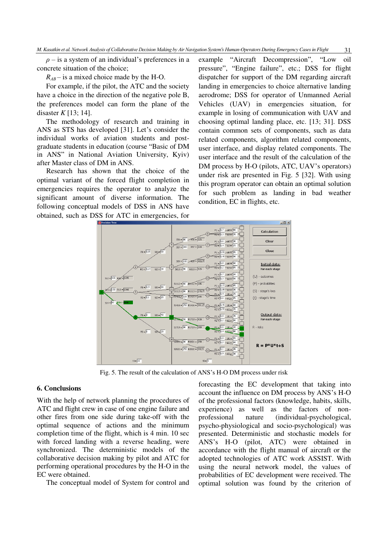$\rho$  – is a system of an individual's preferences in a concrete situation of the choice;

 $R_{AB}$  – is a mixed choice made by the H-O.

For example, if the pilot, the ATC and the society have a choice in the direction of the negative pole B, the preferences model can form the plane of the disaster *K* [13; 14].

The methodology of research and training in ANS as STS has developed [31]. Let's consider the individual works of aviation students and postgraduate students in education (course "Basic of DM in ANS" in National Aviation University, Kyiv) after Master class of DM in ANS.

Research has shown that the choice of the optimal variant of the forced flight completion in emergencies requires the operator to analyze the significant amount of diverse information. The following conceptual models of DSS in ANS have obtained, such as DSS for ATC in emergencies, for example "Aircraft Decompression", "Low oil pressure", "Engine failure", etc.; DSS for flight dispatcher for support of the DM regarding aircraft landing in emergencies to choice alternative landing aerodrome; DSS for operator of Unmanned Aerial Vehicles (UAV) in emergencies situation, for example in losing of communication with UAV and choosing optimal landing place, etc. [13; 31]. DSS contain common sets of components, such as data related components, algorithm related components, user interface, and display related components. The user interface and the result of the calculation of the DM process by H-O (pilots, ATC, UAV's operators) under risk are presented in Fig. 5 [32]. With using this program operator can obtain an optimal solution for such problem as landing in bad weather condition, EC in flights, etc.



Fig. 5. The result of the calculation of ANS's H-O DM process under risk

#### **6. Conclusions**

With the help of network planning the procedures of ATC and flight crew in case of one engine failure and other fires from one side during take-off with the optimal sequence of actions and the minimum completion time of the flight, which is 4 min. 10 sec with forced landing with a reverse heading, were synchronized. The deterministic models of the collaborative decision making by pilot and ATC for performing operational procedures by the H-O in the EC were obtained.

The conceptual model of System for control and

forecasting the EC development that taking into account the influence on DM process by ANS's H-O of the professional factors (knowledge, habits, skills, experience) as well as the factors of nonprofessional nature (individual-psychological, psycho-physiological and socio-psychological) was presented. Deterministic and stochastic models for ANS's H-O (pilot, ATC) were obtained in accordance with the flight manual of aircraft or the adopted technologies of ATC work ASSIST. With using the neural network model, the values of probabilities of EC development were received. The optimal solution was found by the criterion of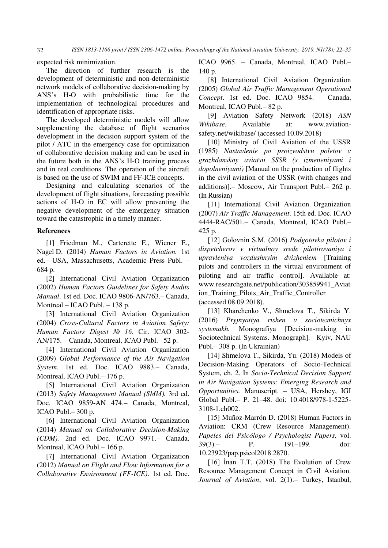expected risk minimization.

The direction of further research is the development of deterministic and non-deterministic network models of collaborative decision-making by ANS's H-O with probabilistic time for the implementation of technological procedures and identification of appropriate risks.

The developed deterministic models will allow supplementing the database of flight scenarios development in the decision support system of the pilot / ATC in the emergency case for optimization of collaborative decision making and can be used in the future both in the ANS's H-O training process and in real conditions. The operation of the aircraft is based on the use of SWIM and FF-ICE concepts.

Designing and calculating scenarios of the development of flight situations, forecasting possible actions of H-O in EC will allow preventing the negative development of the emergency situation toward the catastrophic in a timely manner.

#### **References**

[1] Friedman M., Carterette E., Wiener E., Nagel D. (2014) *Human Factors in Aviation.* 1st еd.– [USA, Massachusetts,](https://en.wikipedia.org/wiki/Cambridge,_Massachusetts) Academic Press Publ. – 684 p.

[2] International Civil Aviation Organization (2002) *Human Factors Guidelines for Safety Audits Manual*. 1st ed. Doc. ICAO 9806-AN/763.– Canada, Montreal – ICAO Publ. – 138 p.

[3] International Civil Aviation Organization (2004) *Cross-Cultural Factors in Aviation Safety: Human Factors Digest № 16*. Сir. ІСАО 302- AN/175. – Canada, Montreal, ICAO Publ.– 52 p.

[4] International Civil Aviation Organization (2009) *Global Performance of the Air Navigation System*. 1st ed. Doc. ICAO 9883.– Canada, Montreal, ICAO Publ.– 176 p.

[5] International Civil Aviation Organization (2013) *Safety Management Manual (SMM).* 3rd ed. Doc. ICAO 9859-AN 474.– Canada, Montreal, ICAO Publ.– 300 p.

[6] International Civil Aviation Organization (2014) *Manual on Collaborative Decision-Making (CDM).* 2nd ed. Doc. ICAO 9971.– Canada, Montreal, ICAO Publ.– 166 p.

[7] International Civil Aviation Organization (2012) *Manual on Flight and Flow Information for a Collaborative Environment (FF-ICE)*. 1st ed. Doc. ICAO 9965. – Canada, Montreal, ICAO Publ.– 140 p.

[8] International Civil Aviation Organization (2005) *Global Air Traffic Management Operational Concept*. 1st ed. Doc. ICAO 9854. – Canada, Montreal, ICAO Publ.– 82 p.

[9] Aviation Safety Network (2018) *ASN Wikibase.* Available at: www.aviationsafety.net/wikibase/ (accessed 10.09.2018)

[10] Ministry of Civil Aviation of the USSR (1985) *Nastavlenie po proizvodstvu poletov v grazhdanskoy aviatsii SSSR (s izmeneniyami i dopolneniyami)* [Manual on the production of flights in the civil aviation of the USSR (with changes and additions)].– Moscow, Air Transport Publ.– 262 p. (In Russian)

[11] International Civil Aviation Organization (2007) *Air Traffic Management*. 15th еd. Doc. ICAO 4444-RAC/501.– Canada, Montreal, ICAO Publ.– 425 p.

[12] Golovnin S.М. (2016) *Podgotovka pilotov i dispetcherov v virtualnoy srede pilotirovaniya i upravleniya vozdushnyim dvizheniem* [Training pilots and controllers in the virtual environment of piloting and air traffic control]. Available at: www.researchgate.net/publication/303859941\_Aviat ion\_Training\_Pilots\_Air\_Traffic\_Controller (accessed 08.09.2018).

[13] Kharchenko V., Shmelova T., Sikirda Y. (2016) *Pryjnyattya rishen v sociotexnichnyx systemakh.* Monografiya [Decision-making in Sociotechnical Systems. Monograph].– Kyiv, NAU Publ.– 308 p. (In Ukrainian)

[14] Shmelova T., Sikirda, Yu. (2018) [Models of](https://www.igi-global.com/chapter/models-of-decision-making-operators-of-socio-technical-system/196093)  [Decision-Making Operators of Socio-Technical](https://www.igi-global.com/chapter/models-of-decision-making-operators-of-socio-technical-system/196093)  [System,](https://www.igi-global.com/chapter/models-of-decision-making-operators-of-socio-technical-system/196093) ch. 2. In *Socio-Technical Decision Support in Air Navigation Systems: Emerging Research and Opportunities.* Manuscript. – USA, Hershey, IGI Global Publ.– P. 21–48. doi: 10.4018/978-1-5225- 3108-1.ch002.

[15] Muñoz-Marrón D. (2018) Human Factors in Aviation: CRM (Crew Resource Management). *Papeles del Psicólogo / Psychologist Papers,* vol. 39(3).– P. 191–199. [doi:](https://doi.org/10.23923/pap.psicol2018.2870)  [10.23923/pap.psicol2018.2870.](https://doi.org/10.23923/pap.psicol2018.2870)

[16] İnan T.T. (2018) The Evolution of Crew Resource Management Concept in Civil Aviation. *Journal of Aviation*, vol. 2(1).– Turkey, Istanbul,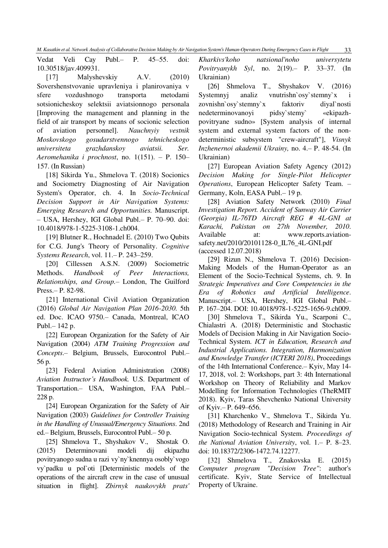Vedat Veli Cay Publ.– P. 45–55. doi: 10.30518/jav.409931.

[17] Malyshevskiy А.V. (2010) Sovershenstvovanie upravleniya i planirovaniya v sfere vozdushnogo transporta metodami sotsionicheskoy selektsii aviatsionnogo personala [Improving the management and planning in the field of air transport by means of socionic selection of aviation personnel]. *Nauchnyiy vestnik Moskovskogo gosudarstvennogo tehnicheskogo universiteta grazhdanskoy aviatsii. Ser. Aeromehanika i prochnost*, no. 1(151). – P. 150– 157. (In Russian)

[18] Sikirda Yu., Shmelova T. (2018) [Socionics](https://www.igi-global.com/chapter/socionics-and-sociometry-diagnosting-of-air-navigation-systems-operator/196095)  [and Sociometry Diagnosting of Air Navigation](https://www.igi-global.com/chapter/socionics-and-sociometry-diagnosting-of-air-navigation-systems-operator/196095)  [System's Operator,](https://www.igi-global.com/chapter/socionics-and-sociometry-diagnosting-of-air-navigation-systems-operator/196095) ch. 4. In *Socio-Technical Decision Support in Air Navigation Systems: Emerging Research and Opportunities.* Manuscript. – USA, Hershey, IGI Global Publ.– P. 70–90. [doi:](https://doi.org/10.4018/978-1-5225-3108-1.ch004)  [10.4018/978-1-5225-3108-1.ch004.](https://doi.org/10.4018/978-1-5225-3108-1.ch004)

[19] Blutner R., Hochnadel E. (2010) [Two Qubits](http://blutner.de/Documents/Jung_rev.pdf)  [for C.G. Jung's Theory of Personality.](http://blutner.de/Documents/Jung_rev.pdf) *Cognitive Systems Research*, vol. 11.– P. 243–259.

[20] Cillessen A.S.N. (2009) Sociometric Methods. *Handbook of Peer Interactions, Relationships, and Group.–* London, The Guilford Press.– P. 82-98.

[21] International Civil Aviation Organization (2016) *Global Air Navigation Plan 2016-2030.* 5th ed. Doc. ICAO 9750.– Canada, Montreal, ICAO Publ.– 142 p.

[22] European Organization for the Safety of Air Navigation (2004) *ATM Training Progression and Concepts*.– [Belgium,](https://en.wikipedia.org/wiki/Belgium) [Brussels,](https://en.wikipedia.org/wiki/Brussels) Eurocontrol Publ.– 56 р.

[23] [Federal Aviation Administration](https://www.faa.gov/) (2008) *Aviation Instructor's Handbook.* U.S. Department of Transportation.– USA, Washington, FAA Publ.– 228 p.

[24] European Organization for the Safety of Air Navigation (2003) *Guidelines for Controller Training in the Handling of Unusual/Emergency Situations*. 2nd еd.– [Belgium,](https://en.wikipedia.org/wiki/Belgium) [Brussels,](https://en.wikipedia.org/wiki/Brussels) Eurocontrol Publ.– 50 р.

[25] Shmelova T., Shyshakov V., Shostak O. (2015) Determinovani modeli dij ekipazhu povitryanogo sudna u razi vy`ny`knennya osobly`vogo vy`padku u pol`oti [Deterministic models of the operations of the aircraft crew in the case of unusual situation in flight]. *Zbirnyk naukovykh prats'*  *Kharkivs'koho natsional'noho universytetu Povitryanykh Syl*, no. 2(19).– P. 33–37. (In Ukrainian)

[26] Shmelova T., Shyshakov V. (2016) Systemnyj analiz vnutrishn`osy`stemny`x i zovnishn`osy`stemny`x faktoriv diyal`nosti nedeterminovanoyi pidsy`stemy` «ekipazhpovitryane sudno» [System analysis of internal system and external system factors of the nondeterministic subsystem "crew-aircraft"], *Visnyk Inzhenernoi akademii Ukrainy,* no. 4.– P. 48-54. (In Ukrainian)

[27] European Aviation Safety Agency (2012) *Decision Making for Single-Pilot Helicopter Operations*, European Helicopter Safety Team. – Germany, Koln, EASA Publ.– 19 р.

[28] Aviation Safety Network (2010) *Final Investigation Report. Accident of Sunway Air Carrier (Georgia) IL-76TD Aircraft REG # 4L-GNI at Karachi, Pakistan on 27th November, 2010*. Available at: www.reports.aviationsafety.net/2010/20101128-0\_IL76\_4L-GNI.pdf (accessed 12.07.2018)

[29] Rizun N., Shmelova T. (2016) Decision-Making Models of the Human-Operator as an Element of the Socio-Technical Systems, ch. 9. In *Strategic Imperatives and Core Competencies in the Era of Robotics and Artificial Intelligence*. Manuscript.– USA, Hershey, IGI Global Publ.– P. 167–204. DOI: 10.4018/978-1-5225-1656-9.ch009.

[30] Shmelova T., Sikirda Yu., Scarponi C., Chialastri A. (2018) Deterministic and Stochastic Models of Decision Making in Air Navigation Socio-Technical System. *ICT in Education, Research and Industrial Applications. Integration, Harmonization and Knowledge Transfer (ICTERI 2018)*, Proceedings of the 14th International Conference.– Kyiv, Маy 14- 17, 2018, vol. 2: Workshops, part 3: 4th International Workshop on Theory of Reliability and Markov Modelling for Information Technologies (TheRMIT 2018). Kyiv, Taras Shevchenko National University of Kyiv.– P. 649–656.

[31] Kharchenko V., Shmelova T., Sikirda Yu. (2018) Methodology of Research and Training in Air Navigation Socio-technical System. *Proceedings of the National Aviation University*, vol. 1.– P. 8–23. doi: [10.18372/2306-1472.74.12](http://dx.doi.org/10.18372/2306-1472.68.10905)277.

[32] Shmelova T., Znakovska E. (2015) *Computer program "Decision Tree"*: author's certificate. Kyiv, State Service of Intellectual Property of Ukraine.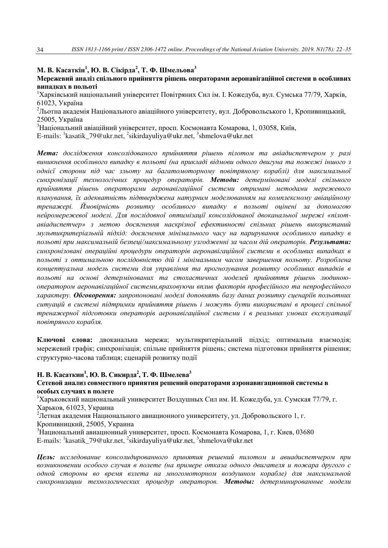# **М. В. Касаткін<sup>1</sup> , Ю. В. Сікірда<sup>2</sup> , Т. Ф. Шмельова<sup>3</sup>**

## **Мережевий аналіз спільного прийняття рішень операторами аеронавігаційної системи в особливих випадках в польоті**

<sup>1</sup>Харківський національний університет Повітряних Сил ім. І. Кожедуба, вул. Сумська 77/79, Харків, 61023, Україна

<sup>2</sup>Льотна академія Національного авіаційного університету, вул. Добровольського 1, Кропивницький, 25005, Україна

 $3$ Національний авіаційний університет, просп. Космонавта Комарова, 1, 03058, Київ,

E-mails: <sup>1</sup>kasatik\_79@ukr.net, <sup>2</sup>sikirdayuliya@ukr.net, <sup>3</sup>shmelova@ukr.net

*Мета: дослідження консолідованого прийняття рішень пілотом та авіадиспетчером у разі виникнення особливого випадку в польоті (на прикладі відмови одного двигуна та пожежі іншого з однієї сторони під час зльоту на багатомоторному повітряному кораблі) для максимальної синхронізації технологічних процедур операторів. Методи: детерміновані моделі спільного прийняття рішень операторами аеронавігаційної системи отримані методами мережевого планування, їх адекватність підтверджена натурним моделюванням на комплексному авіаційному тренажері. Ймовірність розвитку особливого випадку в польоті оцінені за допомогою нейромережевої моделі. Для послідовної оптимізації консолідованої двоканальної мережі «пілотавіадиспетчер» з метою досягнення наскрізної ефективності спільних рішень використаний мультикритеріальній підхід: досягнення мінімального часу на парирування особливого випадку в польоті при максимальній безпеці/максимальному узгодженні за часом дій операторів. Результати: синхронізовані операційні процедури операторів аеронавігаційної системи в особливих випадках в польоті з оптимальною послідовністю дій і мінімальним часом завершення польоту. Розроблена концептуальна модель системи для управління та прогнозування розвитку особливих випадків в польоті на основі детермінованих та стохастичних моделей прийняття рішень людиноюоператором аеронавігаційної системи,враховуючи вплив факторів професійного та непрофесійного характеру. Обговорення: запропоновані моделі доповнять базу даних розвитку сценаріїв польотних ситуацій в системі підтримки прийняття рішень і можуть бути використані в процесі спільної тренажерної підготовки операторів аеронавігаційної системи і в реальних умовах експлуатації повітряного корабля.*

**Ключові слова:** двоканальна мережа; мультикритеріальний підхід; оптимальна взаємодія; мережевий графік; синхронізація; спільне прийняття рішень; система підготовки прийняття рішення; структурно-часова таблиця; сценарій розвитку події

# **Н. В. Касаткин<sup>1</sup> , Ю. В. Сикирда<sup>2</sup> , Т. Ф. Шмелева<sup>3</sup>**

### **Сетевой анализ совместного принятия решений операторами аэронавигационной системы в особых случаях в полете**

<sup>1</sup>Харьковский национальный университет Воздушных Сил им. И. Кожедуба, ул. Сумская 77/79, г. Харьков, 61023, Украина

<sup>2</sup>Летная академия Национального авиационного университету, ул. Добровольского 1, г.

Кропивницкий, 25005, Украина

 $3H$ ациональний авиационный университет, просп. Космонавта Комарова, 1, г. Киев, 03680 E-mails: <sup>1</sup>kasatik\_79@ukr.net, <sup>2</sup>sikirdayuliya@ukr.net, <sup>3</sup>shmelova@ukr.net

*Цель: исследование консолидированного принятия решений пилотом и авиадиспетчером при возникновении особого случая в полете (на примере отказа одного двигателя и пожара другого с одной стороны во время взлета на многомоторном воздушном корабле) для максимальной синхронизации технологических процедур операторов. Методы: детерминированные модели*